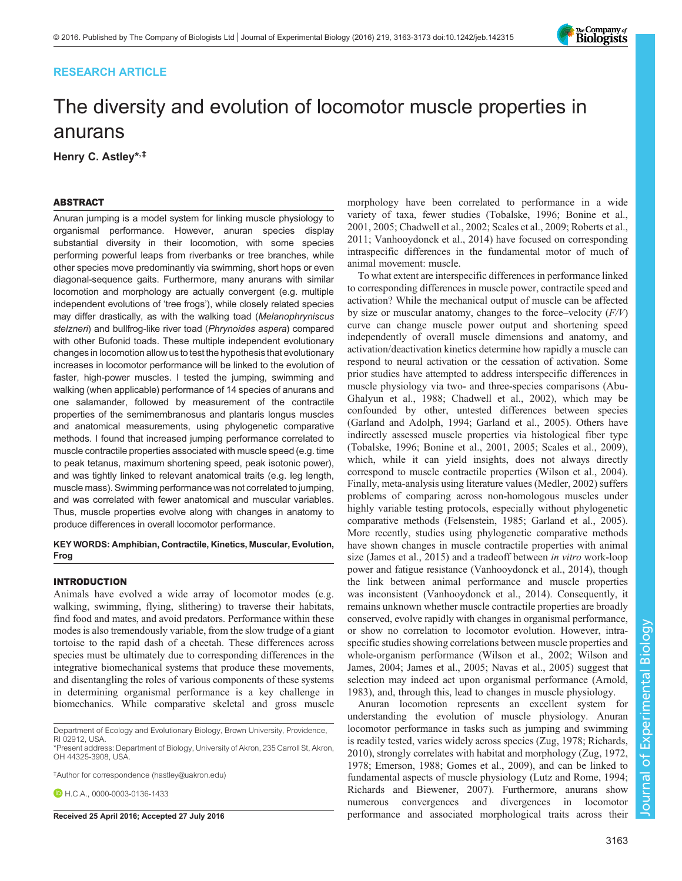# RESEARCH ARTICLE

# The diversity and evolution of locomotor muscle properties in anurans

Henry C. Astley\*,‡

## ABSTRACT

Anuran jumping is a model system for linking muscle physiology to organismal performance. However, anuran species display substantial diversity in their locomotion, with some species performing powerful leaps from riverbanks or tree branches, while other species move predominantly via swimming, short hops or even diagonal-sequence gaits. Furthermore, many anurans with similar locomotion and morphology are actually convergent (e.g. multiple independent evolutions of 'tree frogs'), while closely related species may differ drastically, as with the walking toad (Melanophryniscus stelzneri) and bullfrog-like river toad (Phrynoides aspera) compared with other Bufonid toads. These multiple independent evolutionary changes in locomotion allow us to test the hypothesis that evolutionary increases in locomotor performance will be linked to the evolution of faster, high-power muscles. I tested the jumping, swimming and walking (when applicable) performance of 14 species of anurans and one salamander, followed by measurement of the contractile properties of the semimembranosus and plantaris longus muscles and anatomical measurements, using phylogenetic comparative methods. I found that increased jumping performance correlated to muscle contractile properties associated with muscle speed (e.g. time to peak tetanus, maximum shortening speed, peak isotonic power), and was tightly linked to relevant anatomical traits (e.g. leg length, muscle mass). Swimming performance was not correlated to jumping, and was correlated with fewer anatomical and muscular variables. Thus, muscle properties evolve along with changes in anatomy to produce differences in overall locomotor performance.

KEY WORDS: Amphibian, Contractile, Kinetics, Muscular, Evolution, Frog

#### INTRODUCTION

Animals have evolved a wide array of locomotor modes (e.g. walking, swimming, flying, slithering) to traverse their habitats, find food and mates, and avoid predators. Performance within these modes is also tremendously variable, from the slow trudge of a giant tortoise to the rapid dash of a cheetah. These differences across species must be ultimately due to corresponding differences in the integrative biomechanical systems that produce these movements, and disentangling the roles of various components of these systems in determining organismal performance is a key challenge in biomechanics. While comparative skeletal and gross muscle

Department of Ecology and Evolutionary Biology, Brown University, Providence, RI 02912, USA.

‡ Author for correspondence ([hastley@uakron.edu\)](mailto:hastley@uakron.edu)

**D**HCA [0000-0003-0136-1433](http://orcid.org/0000-0003-0136-1433)

morphology have been correlated to performance in a wide variety of taxa, fewer studies ([Tobalske, 1996](#page-10-0); [Bonine et al.,](#page-9-0) [2001, 2005](#page-9-0); [Chadwell et al., 2002](#page-9-0); [Scales et al., 2009; Roberts et al.,](#page-9-0) [2011;](#page-9-0) [Vanhooydonck et al., 2014\)](#page-10-0) have focused on corresponding intraspecific differences in the fundamental motor of much of animal movement: muscle.

To what extent are interspecific differences in performance linked to corresponding differences in muscle power, contractile speed and activation? While the mechanical output of muscle can be affected by size or muscular anatomy, changes to the force–velocity  $(F/V)$ curve can change muscle power output and shortening speed independently of overall muscle dimensions and anatomy, and activation/deactivation kinetics determine how rapidly a muscle can respond to neural activation or the cessation of activation. Some prior studies have attempted to address interspecific differences in muscle physiology via two- and three-species comparisons ([Abu-](#page-9-0)[Ghalyun et al., 1988; Chadwell et al., 2002\)](#page-9-0), which may be confounded by other, untested differences between species [\(Garland and Adolph, 1994](#page-9-0); [Garland et al., 2005\)](#page-9-0). Others have indirectly assessed muscle properties via histological fiber type [\(Tobalske, 1996](#page-10-0); [Bonine et al., 2001, 2005; Scales et al., 2009\)](#page-9-0), which, while it can yield insights, does not always directly correspond to muscle contractile properties [\(Wilson et al., 2004\)](#page-10-0). Finally, meta-analysis using literature values ([Medler, 2002](#page-9-0)) suffers problems of comparing across non-homologous muscles under highly variable testing protocols, especially without phylogenetic comparative methods [\(Felsenstein, 1985](#page-9-0); [Garland et al., 2005\)](#page-9-0). More recently, studies using phylogenetic comparative methods have shown changes in muscle contractile properties with animal size [\(James et al., 2015](#page-9-0)) and a tradeoff between in vitro work-loop power and fatigue resistance ([Vanhooydonck et al., 2014](#page-10-0)), though the link between animal performance and muscle properties was inconsistent [\(Vanhooydonck et al., 2014\)](#page-10-0). Consequently, it remains unknown whether muscle contractile properties are broadly conserved, evolve rapidly with changes in organismal performance, or show no correlation to locomotor evolution. However, intraspecific studies showing correlations between muscle properties and whole-organism performance [\(Wilson et al., 2002](#page-10-0); [Wilson and](#page-10-0) [James, 2004;](#page-10-0) [James et al., 2005; Navas et al., 2005](#page-9-0)) suggest that selection may indeed act upon organismal performance ([Arnold,](#page-9-0) [1983\)](#page-9-0), and, through this, lead to changes in muscle physiology.

Anuran locomotion represents an excellent system for understanding the evolution of muscle physiology. Anuran locomotor performance in tasks such as jumping and swimming is readily tested, varies widely across species ([Zug, 1978](#page-10-0); [Richards,](#page-9-0) [2010\)](#page-9-0), strongly correlates with habitat and morphology ([Zug, 1972,](#page-10-0) [1978;](#page-10-0) [Emerson, 1988](#page-9-0); [Gomes et al., 2009](#page-9-0)), and can be linked to fundamental aspects of muscle physiology ([Lutz and Rome, 1994](#page-9-0); [Richards and Biewener, 2007](#page-9-0)). Furthermore, anurans show numerous convergences and divergences in locomotor Received 25 April 2016; Accepted 27 July 2016 performance and associated morphological traits across their

Biology



<sup>\*</sup>Present address: Department of Biology, University of Akron, 235 Carroll St, Akron, OH 44325-3908, USA.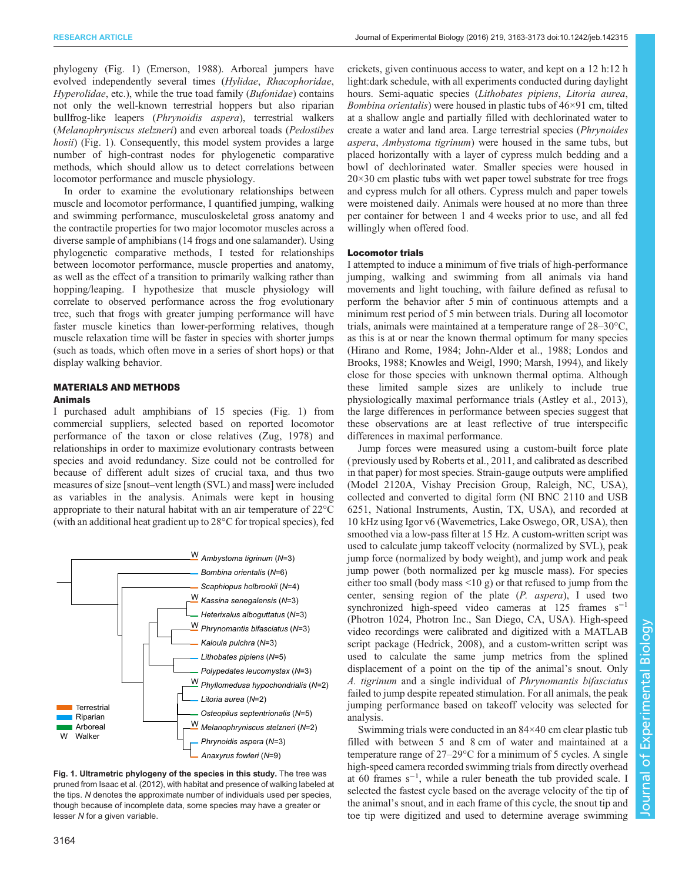phylogeny (Fig. 1) ([Emerson, 1988\)](#page-9-0). Arboreal jumpers have evolved independently several times (Hylidae, Rhacophoridae, Hyperolidae, etc.), while the true toad family (Bufonidae) contains not only the well-known terrestrial hoppers but also riparian bullfrog-like leapers (Phrynoidis aspera), terrestrial walkers (Melanophryniscus stelzneri) and even arboreal toads (Pedostibes hosii) (Fig. 1). Consequently, this model system provides a large number of high-contrast nodes for phylogenetic comparative methods, which should allow us to detect correlations between locomotor performance and muscle physiology.

In order to examine the evolutionary relationships between muscle and locomotor performance, I quantified jumping, walking and swimming performance, musculoskeletal gross anatomy and the contractile properties for two major locomotor muscles across a diverse sample of amphibians (14 frogs and one salamander). Using phylogenetic comparative methods, I tested for relationships between locomotor performance, muscle properties and anatomy, as well as the effect of a transition to primarily walking rather than hopping/leaping. I hypothesize that muscle physiology will correlate to observed performance across the frog evolutionary tree, such that frogs with greater jumping performance will have faster muscle kinetics than lower-performing relatives, though muscle relaxation time will be faster in species with shorter jumps (such as toads, which often move in a series of short hops) or that display walking behavior.

# MATERIALS AND METHODS

#### Animals

I purchased adult amphibians of 15 species (Fig. 1) from commercial suppliers, selected based on reported locomotor performance of the taxon or close relatives ([Zug, 1978\)](#page-10-0) and relationships in order to maximize evolutionary contrasts between species and avoid redundancy. Size could not be controlled for because of different adult sizes of crucial taxa, and thus two measures of size [snout–vent length (SVL) and mass] were included as variables in the analysis. Animals were kept in housing appropriate to their natural habitat with an air temperature of 22°C (with an additional heat gradient up to 28°C for tropical species), fed





crickets, given continuous access to water, and kept on a 12 h:12 h light:dark schedule, with all experiments conducted during daylight hours. Semi-aquatic species (Lithobates pipiens, Litoria aurea, Bombina orientalis) were housed in plastic tubs of 46×91 cm, tilted at a shallow angle and partially filled with dechlorinated water to create a water and land area. Large terrestrial species (Phrynoides aspera, Ambystoma tigrinum) were housed in the same tubs, but placed horizontally with a layer of cypress mulch bedding and a bowl of dechlorinated water. Smaller species were housed in  $20\times30$  cm plastic tubs with wet paper towel substrate for tree frogs and cypress mulch for all others. Cypress mulch and paper towels were moistened daily. Animals were housed at no more than three per container for between 1 and 4 weeks prior to use, and all fed willingly when offered food.

#### Locomotor trials

I attempted to induce a minimum of five trials of high-performance jumping, walking and swimming from all animals via hand movements and light touching, with failure defined as refusal to perform the behavior after 5 min of continuous attempts and a minimum rest period of 5 min between trials. During all locomotor trials, animals were maintained at a temperature range of 28–30°C, as this is at or near the known thermal optimum for many species [\(Hirano and Rome, 1984](#page-9-0); [John-Alder et al., 1988; Londos and](#page-9-0) [Brooks, 1988; Knowles and Weigl, 1990](#page-9-0); [Marsh, 1994\)](#page-9-0), and likely close for those species with unknown thermal optima. Although these limited sample sizes are unlikely to include true physiologically maximal performance trials [\(Astley et al., 2013\)](#page-9-0), the large differences in performance between species suggest that these observations are at least reflective of true interspecific differences in maximal performance.

Jump forces were measured using a custom-built force plate ( previously used by [Roberts et al., 2011](#page-9-0), and calibrated as described in that paper) for most species. Strain-gauge outputs were amplified (Model 2120A, Vishay Precision Group, Raleigh, NC, USA), collected and converted to digital form (NI BNC 2110 and USB 6251, National Instruments, Austin, TX, USA), and recorded at 10 kHz using Igor v6 (Wavemetrics, Lake Oswego, OR, USA), then smoothed via a low-pass filter at 15 Hz. A custom-written script was used to calculate jump takeoff velocity (normalized by SVL), peak jump force (normalized by body weight), and jump work and peak jump power (both normalized per kg muscle mass). For species either too small (body mass  $\leq 10$  g) or that refused to jump from the center, sensing region of the plate (P. aspera), I used two synchronized high-speed video cameras at  $125$  frames s<sup>-1</sup> (Photron 1024, Photron Inc., San Diego, CA, USA). High-speed video recordings were calibrated and digitized with a MATLAB script package [\(Hedrick, 2008\)](#page-9-0), and a custom-written script was used to calculate the same jump metrics from the splined displacement of a point on the tip of the animal's snout. Only A. tigrinum and a single individual of Phrynomantis bifasciatus failed to jump despite repeated stimulation. For all animals, the peak jumping performance based on takeoff velocity was selected for analysis.

Swimming trials were conducted in an 84×40 cm clear plastic tub filled with between 5 and 8 cm of water and maintained at a temperature range of 27–29°C for a minimum of 5 cycles. A single high-speed camera recorded swimming trials from directly overhead at 60 frames s−<sup>1</sup> , while a ruler beneath the tub provided scale. I selected the fastest cycle based on the average velocity of the tip of the animal's snout, and in each frame of this cycle, the snout tip and toe tip were digitized and used to determine average swimming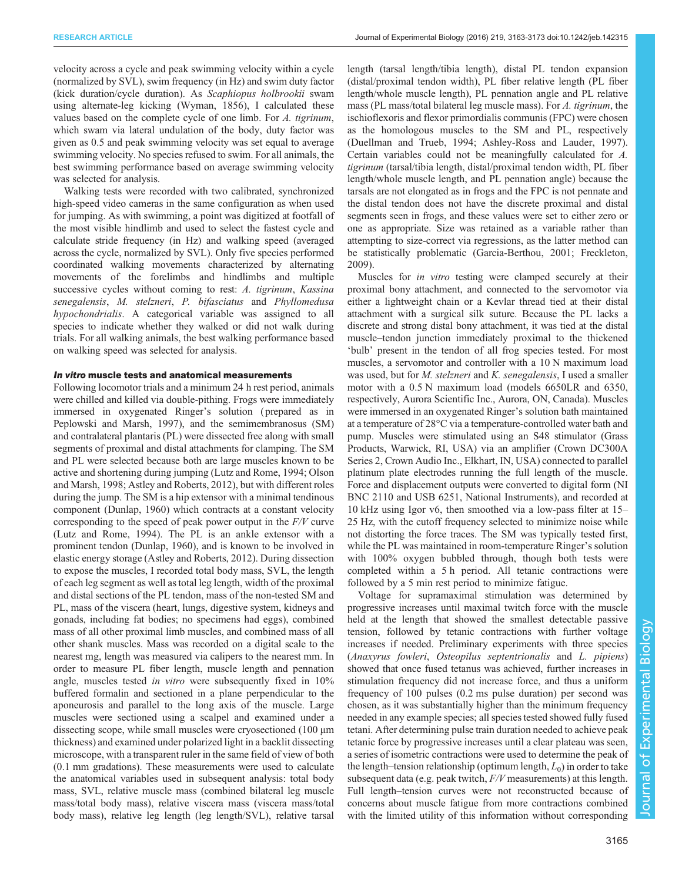velocity across a cycle and peak swimming velocity within a cycle (normalized by SVL), swim frequency (in Hz) and swim duty factor (kick duration/cycle duration). As Scaphiopus holbrookii swam using alternate-leg kicking [\(Wyman, 1856\)](#page-10-0), I calculated these values based on the complete cycle of one limb. For A. tigrinum, which swam via lateral undulation of the body, duty factor was given as 0.5 and peak swimming velocity was set equal to average swimming velocity. No species refused to swim. For all animals, the best swimming performance based on average swimming velocity was selected for analysis.

Walking tests were recorded with two calibrated, synchronized high-speed video cameras in the same configuration as when used for jumping. As with swimming, a point was digitized at footfall of the most visible hindlimb and used to select the fastest cycle and calculate stride frequency (in Hz) and walking speed (averaged across the cycle, normalized by SVL). Only five species performed coordinated walking movements characterized by alternating movements of the forelimbs and hindlimbs and multiple successive cycles without coming to rest: A. tigrinum, Kassina senegalensis, M. stelzneri, P. bifasciatus and Phyllomedusa hypochondrialis. A categorical variable was assigned to all species to indicate whether they walked or did not walk during trials. For all walking animals, the best walking performance based on walking speed was selected for analysis.

#### In vitro muscle tests and anatomical measurements

Following locomotor trials and a minimum 24 h rest period, animals were chilled and killed via double-pithing. Frogs were immediately immersed in oxygenated Ringer's solution ( prepared as in [Peplowski and Marsh, 1997](#page-9-0)), and the semimembranosus (SM) and contralateral plantaris (PL) were dissected free along with small segments of proximal and distal attachments for clamping. The SM and PL were selected because both are large muscles known to be active and shortening during jumping [\(Lutz and Rome, 1994; Olson](#page-9-0) [and Marsh, 1998; Astley and Roberts, 2012\)](#page-9-0), but with different roles during the jump. The SM is a hip extensor with a minimal tendinous component ([Dunlap, 1960](#page-9-0)) which contracts at a constant velocity corresponding to the speed of peak power output in the  $F/V$  curve [\(Lutz and Rome, 1994\)](#page-9-0). The PL is an ankle extensor with a prominent tendon ([Dunlap, 1960](#page-9-0)), and is known to be involved in elastic energy storage ([Astley and Roberts, 2012](#page-9-0)). During dissection to expose the muscles, I recorded total body mass, SVL, the length of each leg segment as well as total leg length, width of the proximal and distal sections of the PL tendon, mass of the non-tested SM and PL, mass of the viscera (heart, lungs, digestive system, kidneys and gonads, including fat bodies; no specimens had eggs), combined mass of all other proximal limb muscles, and combined mass of all other shank muscles. Mass was recorded on a digital scale to the nearest mg, length was measured via calipers to the nearest mm. In order to measure PL fiber length, muscle length and pennation angle, muscles tested in vitro were subsequently fixed in 10% buffered formalin and sectioned in a plane perpendicular to the aponeurosis and parallel to the long axis of the muscle. Large muscles were sectioned using a scalpel and examined under a dissecting scope, while small muscles were cryosectioned (100 μm thickness) and examined under polarized light in a backlit dissecting microscope, with a transparent ruler in the same field of view of both (0.1 mm gradations). These measurements were used to calculate the anatomical variables used in subsequent analysis: total body mass, SVL, relative muscle mass (combined bilateral leg muscle mass/total body mass), relative viscera mass (viscera mass/total body mass), relative leg length (leg length/SVL), relative tarsal

length (tarsal length/tibia length), distal PL tendon expansion (distal/proximal tendon width), PL fiber relative length (PL fiber length/whole muscle length), PL pennation angle and PL relative mass (PL mass/total bilateral leg muscle mass). For A. tigrinum, the ischioflexoris and flexor primordialis communis (FPC) were chosen as the homologous muscles to the SM and PL, respectively [\(Duellman and Trueb, 1994](#page-9-0); [Ashley-Ross and Lauder, 1997\)](#page-9-0). Certain variables could not be meaningfully calculated for A. tigrinum (tarsal/tibia length, distal/proximal tendon width, PL fiber length/whole muscle length, and PL pennation angle) because the tarsals are not elongated as in frogs and the FPC is not pennate and the distal tendon does not have the discrete proximal and distal segments seen in frogs, and these values were set to either zero or one as appropriate. Size was retained as a variable rather than attempting to size-correct via regressions, as the latter method can be statistically problematic ([Garcia-Berthou, 2001](#page-9-0); [Freckleton,](#page-9-0) [2009\)](#page-9-0).

Muscles for in vitro testing were clamped securely at their proximal bony attachment, and connected to the servomotor via either a lightweight chain or a Kevlar thread tied at their distal attachment with a surgical silk suture. Because the PL lacks a discrete and strong distal bony attachment, it was tied at the distal muscle–tendon junction immediately proximal to the thickened 'bulb' present in the tendon of all frog species tested. For most muscles, a servomotor and controller with a 10 N maximum load was used, but for *M. stelzneri* and *K. senegalensis*, I used a smaller motor with a 0.5 N maximum load (models 6650LR and 6350, respectively, Aurora Scientific Inc., Aurora, ON, Canada). Muscles were immersed in an oxygenated Ringer's solution bath maintained at a temperature of 28°C via a temperature-controlled water bath and pump. Muscles were stimulated using an S48 stimulator (Grass Products, Warwick, RI, USA) via an amplifier (Crown DC300A Series 2, Crown Audio Inc., Elkhart, IN, USA) connected to parallel platinum plate electrodes running the full length of the muscle. Force and displacement outputs were converted to digital form (NI BNC 2110 and USB 6251, National Instruments), and recorded at 10 kHz using Igor v6, then smoothed via a low-pass filter at 15– 25 Hz, with the cutoff frequency selected to minimize noise while not distorting the force traces. The SM was typically tested first, while the PL was maintained in room-temperature Ringer's solution with 100% oxygen bubbled through, though both tests were completed within a 5 h period. All tetanic contractions were followed by a 5 min rest period to minimize fatigue.

Voltage for supramaximal stimulation was determined by progressive increases until maximal twitch force with the muscle held at the length that showed the smallest detectable passive tension, followed by tetanic contractions with further voltage increases if needed. Preliminary experiments with three species (Anaxyrus fowleri, Osteopilus septentrionalis and L. pipiens) showed that once fused tetanus was achieved, further increases in stimulation frequency did not increase force, and thus a uniform frequency of 100 pulses (0.2 ms pulse duration) per second was chosen, as it was substantially higher than the minimum frequency needed in any example species; all species tested showed fully fused tetani. After determining pulse train duration needed to achieve peak tetanic force by progressive increases until a clear plateau was seen, a series of isometric contractions were used to determine the peak of the length–tension relationship (optimum length,  $L_0$ ) in order to take subsequent data (e.g. peak twitch, F/V measurements) at this length. Full length–tension curves were not reconstructed because of concerns about muscle fatigue from more contractions combined with the limited utility of this information without corresponding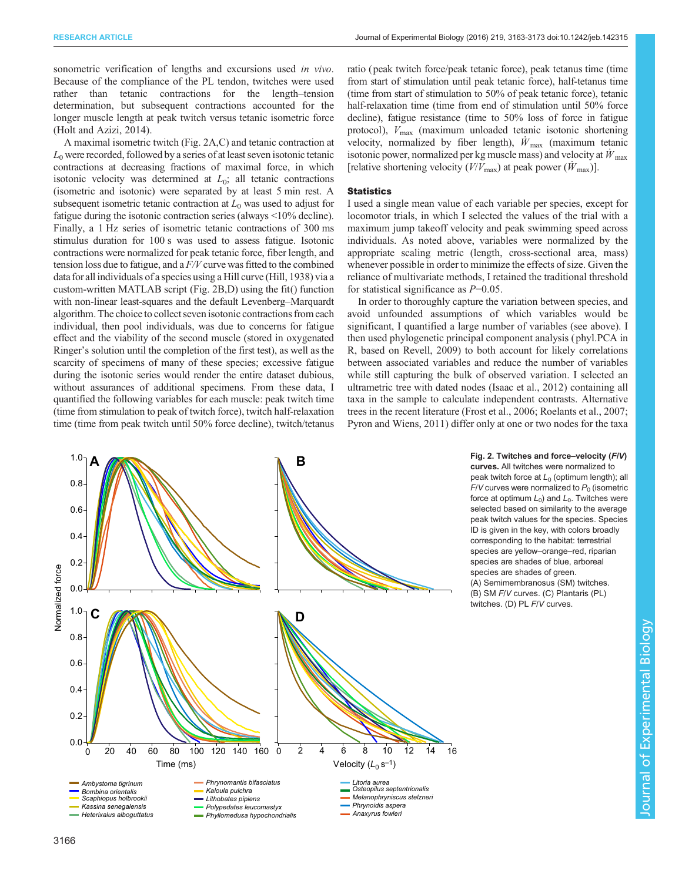<span id="page-3-0"></span>sonometric verification of lengths and excursions used in vivo. Because of the compliance of the PL tendon, twitches were used rather than tetanic contractions for the length–tension determination, but subsequent contractions accounted for the longer muscle length at peak twitch versus tetanic isometric force [\(Holt and Azizi, 2014](#page-9-0)).

A maximal isometric twitch (Fig. 2A,C) and tetanic contraction at  $L_0$  were recorded, followed by a series of at least seven isotonic tetanic contractions at decreasing fractions of maximal force, in which isotonic velocity was determined at  $L_0$ ; all tetanic contractions (isometric and isotonic) were separated by at least 5 min rest. A subsequent isometric tetanic contraction at  $L_0$  was used to adjust for fatigue during the isotonic contraction series (always <10% decline). Finally, a 1 Hz series of isometric tetanic contractions of 300 ms stimulus duration for 100 s was used to assess fatigue. Isotonic contractions were normalized for peak tetanic force, fiber length, and tension loss due to fatigue, and a  $F/V$  curve was fitted to the combined data for all individuals of a species using a Hill curve [\(Hill, 1938](#page-9-0)) via a custom-written MATLAB script (Fig. 2B,D) using the fit() function with non-linear least-squares and the default Levenberg–Marquardt algorithm. The choice to collect seven isotonic contractions from each individual, then pool individuals, was due to concerns for fatigue effect and the viability of the second muscle (stored in oxygenated Ringer's solution until the completion of the first test), as well as the scarcity of specimens of many of these species; excessive fatigue during the isotonic series would render the entire dataset dubious, without assurances of additional specimens. From these data, I quantified the following variables for each muscle: peak twitch time (time from stimulation to peak of twitch force), twitch half-relaxation time (time from peak twitch until 50% force decline), twitch/tetanus

ratio (peak twitch force/peak tetanic force), peak tetanus time (time from start of stimulation until peak tetanic force), half-tetanus time (time from start of stimulation to 50% of peak tetanic force), tetanic half-relaxation time (time from end of stimulation until 50% force decline), fatigue resistance (time to 50% loss of force in fatigue protocol),  $V_{\text{max}}$  (maximum unloaded tetanic isotonic shortening velocity, normalized by fiber length),  $W_{\text{max}}$  (maximum tetanic isotonic power, normalized per kg muscle mass) and velocity at  $W_{\text{max}}$ [relative shortening velocity ( $V/V_{\text{max}}$ ) at peak power ( $W_{\text{max}}$ )].

#### **Statistics**

I used a single mean value of each variable per species, except for locomotor trials, in which I selected the values of the trial with a maximum jump takeoff velocity and peak swimming speed across individuals. As noted above, variables were normalized by the appropriate scaling metric (length, cross-sectional area, mass) whenever possible in order to minimize the effects of size. Given the reliance of multivariate methods, I retained the traditional threshold for statistical significance as  $P=0.05$ .

In order to thoroughly capture the variation between species, and avoid unfounded assumptions of which variables would be significant, I quantified a large number of variables (see above). I then used phylogenetic principal component analysis ( phyl.PCA in R, based on [Revell, 2009](#page-9-0)) to both account for likely correlations between associated variables and reduce the number of variables while still capturing the bulk of observed variation. I selected an ultrametric tree with dated nodes ([Isaac et al., 2012](#page-9-0)) containing all taxa in the sample to calculate independent contrasts. Alternative trees in the recent literature ([Frost et al., 2006](#page-9-0); [Roelants et al., 2007](#page-9-0); [Pyron and Wiens, 2011\)](#page-9-0) differ only at one or two nodes for the taxa



Fig. 2. Twitches and force–velocity (F/V) curves. All twitches were normalized to peak twitch force at  $L_0$  (optimum length); all  $F/V$  curves were normalized to  $P_0$  (isometric force at optimum  $L_0$ ) and  $L_0$ . Twitches were selected based on similarity to the average peak twitch values for the species. Species ID is given in the key, with colors broadly corresponding to the habitat: terrestrial species are yellow–orange–red, riparian species are shades of blue, arboreal species are shades of green. (A) Semimembranosus (SM) twitches. (B) SM F/V curves. (C) Plantaris (PL) twitches. (D) PL F/V curves.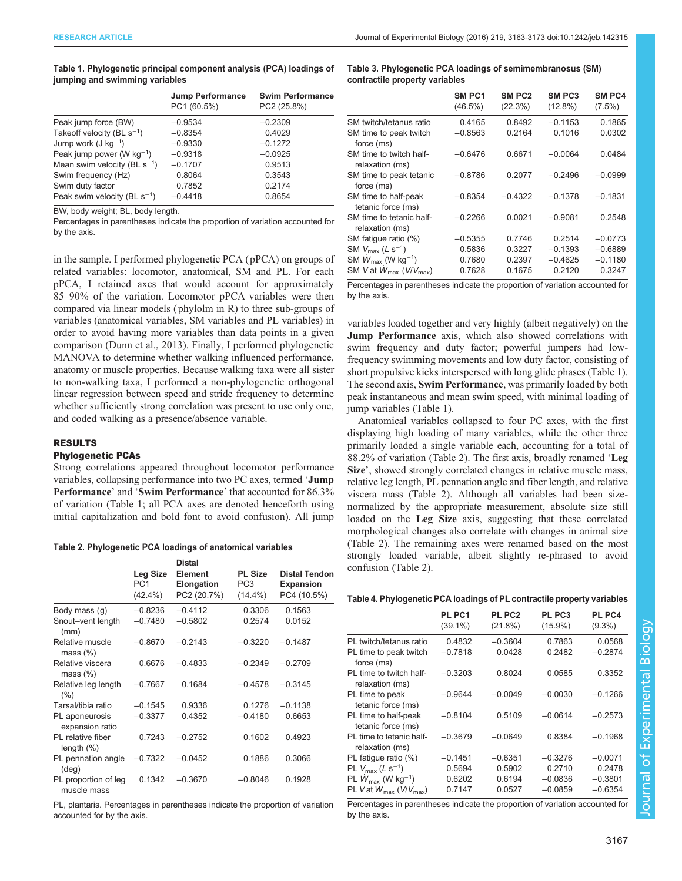#### <span id="page-4-0"></span>Table 1. Phylogenetic principal component analysis (PCA) loadings of jumping and swimming variables

|                                   | <b>Jump Performance</b><br>PC1 (60.5%) | <b>Swim Performance</b><br>PC2 (25.8%) |
|-----------------------------------|----------------------------------------|----------------------------------------|
| Peak jump force (BW)              | $-0.9534$                              | $-0.2309$                              |
| Takeoff velocity (BL $s^{-1}$ )   | $-0.8354$                              | 0.4029                                 |
| Jump work $(J \text{ kg}^{-1})$   | $-0.9330$                              | $-0.1272$                              |
| Peak jump power (W $kg^{-1}$ )    | $-0.9318$                              | $-0.0925$                              |
| Mean swim velocity (BL $s^{-1}$ ) | $-0.1707$                              | 0.9513                                 |
| Swim frequency (Hz)               | 0.8064                                 | 0.3543                                 |
| Swim duty factor                  | 0.7852                                 | 0.2174                                 |
| Peak swim velocity (BL $s^{-1}$ ) | $-0.4418$                              | 0.8654                                 |
|                                   |                                        |                                        |

BW, body weight; BL, body length.

Percentages in parentheses indicate the proportion of variation accounted for by the axis.

in the sample. I performed phylogenetic PCA ( pPCA) on groups of related variables: locomotor, anatomical, SM and PL. For each pPCA, I retained axes that would account for approximately 85–90% of the variation. Locomotor pPCA variables were then compared via linear models ( phylolm in R) to three sub-groups of variables (anatomical variables, SM variables and PL variables) in order to avoid having more variables than data points in a given comparison ([Dunn et al., 2013](#page-9-0)). Finally, I performed phylogenetic MANOVA to determine whether walking influenced performance, anatomy or muscle properties. Because walking taxa were all sister to non-walking taxa, I performed a non-phylogenetic orthogonal linear regression between speed and stride frequency to determine whether sufficiently strong correlation was present to use only one, and coded walking as a presence/absence variable.

# RESULTS

#### Phylogenetic PCAs

Strong correlations appeared throughout locomotor performance variables, collapsing performance into two PC axes, termed 'Jump Performance' and 'Swim Performance' that accounted for 86.3% of variation (Table 1; all PCA axes are denoted henceforth using initial capitalization and bold font to avoid confusion). All jump

| Table 2. Phylogenetic PCA loadings of anatomical variables |  |  |  |  |  |
|------------------------------------------------------------|--|--|--|--|--|
|------------------------------------------------------------|--|--|--|--|--|

|                                     |                                           | <b>Distal</b>                               |                                                 |                                                         |
|-------------------------------------|-------------------------------------------|---------------------------------------------|-------------------------------------------------|---------------------------------------------------------|
|                                     | Leg Size<br>PC <sub>1</sub><br>$(42.4\%)$ | <b>Element</b><br>Elongation<br>PC2 (20.7%) | <b>PL Size</b><br>PC <sub>3</sub><br>$(14.4\%)$ | <b>Distal Tendon</b><br><b>Expansion</b><br>PC4 (10.5%) |
| Body mass (g)                       | $-0.8236$                                 | $-0.4112$                                   | 0.3306                                          | 0.1563                                                  |
| Snout-vent length<br>(mm)           | $-0.7480$                                 | $-0.5802$                                   | 0.2574                                          | 0.0152                                                  |
| Relative muscle<br>mass $(\%)$      | $-0.8670$                                 | $-0.2143$                                   | $-0.3220$                                       | $-0.1487$                                               |
| Relative viscera<br>mass $(\%)$     | 0.6676                                    | $-0.4833$                                   | $-0.2349$                                       | $-0.2709$                                               |
| Relative leg length<br>$(\% )$      | $-0.7667$                                 | 0.1684                                      | $-0.4578$                                       | $-0.3145$                                               |
| Tarsal/tibia ratio                  | $-0.1545$                                 | 0.9336                                      | 0 1276                                          | $-0.1138$                                               |
| PL aponeurosis<br>expansion ratio   | $-0.3377$                                 | 0.4352                                      | $-0.4180$                                       | 0.6653                                                  |
| PL relative fiber<br>length $(\%)$  | 0 7 2 4 3                                 | $-0.2752$                                   | 0.1602                                          | 0.4923                                                  |
| PL pennation angle<br>(deg)         | $-0.7322$                                 | $-0.0452$                                   | 0.1886                                          | 0.3066                                                  |
| PL proportion of leg<br>muscle mass | 0.1342                                    | $-0.3670$                                   | $-0.8046$                                       | 0.1928                                                  |

PL, plantaris. Percentages in parentheses indicate the proportion of variation accounted for by the axis.

#### Table 3. Phylogenetic PCA loadings of semimembranosus (SM) contractile property variables

|                                                | SM PC1     | SM PC <sub>2</sub> | <b>SMPC3</b>         | SM PC4        |
|------------------------------------------------|------------|--------------------|----------------------|---------------|
|                                                | $(46.5\%)$ | (22.3%)            | $(12.8\%)$           | $(7.5\%)$     |
| SM twitch/tetanus ratio                        | 0.4165     | 0.8492             | $-0.1153$            | 0.1865        |
| SM time to peak twitch<br>force (ms)           | $-0.8563$  | 0.2164             | 0.1016               | 0.0302        |
| SM time to twitch half-<br>relaxation (ms)     | $-0.6476$  | 0.6671             | $-0.0064$            | 0.0484        |
| SM time to peak tetanic<br>force (ms)          | $-0.8786$  | 0.2077             | $-0.2496$            | $-0.0999$     |
| SM time to half-peak<br>tetanic force (ms)     | $-0.8354$  | $-0.4322$          | $-0.1378$            | $-0.1831$     |
| SM time to tetanic half-<br>relaxation (ms)    | $-0.2266$  | 0.0021             | $-0.9081$            | 0.2548        |
| SM fatique ratio (%)                           | $-0.5355$  | 0.7746             | 0.2514               | $-0.0773$     |
| SM $V_{\text{max}}$ (L s <sup>-1</sup> )       | 0.5836     | 0.3227             | $-0.1393$            | $-0.6889$     |
| SM $W_{\text{max}}$ (W kg <sup>-1</sup> )      | 0.7680     | 0.2397             | $-0.4625$            | $-0.1180$     |
| SM V at $W_{\text{max}}$ (V/V <sub>max</sub> ) | 0.7628     | 0.1675             | 0.2120               | 0.3247        |
| $\cdots$                                       | .          |                    | $\sim$ $\sim$ $\sim$ | $\sim$ $\sim$ |

Percentages in parentheses indicate the proportion of variation accounted for by the axis.

variables loaded together and very highly (albeit negatively) on the Jump Performance axis, which also showed correlations with swim frequency and duty factor; powerful jumpers had lowfrequency swimming movements and low duty factor, consisting of short propulsive kicks interspersed with long glide phases (Table 1). The second axis, Swim Performance, was primarily loaded by both peak instantaneous and mean swim speed, with minimal loading of jump variables (Table 1).

Anatomical variables collapsed to four PC axes, with the first displaying high loading of many variables, while the other three primarily loaded a single variable each, accounting for a total of 88.2% of variation (Table 2). The first axis, broadly renamed 'Leg Size', showed strongly correlated changes in relative muscle mass, relative leg length, PL pennation angle and fiber length, and relative viscera mass (Table 2). Although all variables had been sizenormalized by the appropriate measurement, absolute size still loaded on the Leg Size axis, suggesting that these correlated morphological changes also correlate with changes in animal size (Table 2). The remaining axes were renamed based on the most strongly loaded variable, albeit slightly re-phrased to avoid confusion (Table 2).

#### Table 4. Phylogenetic PCA loadings of PL contractile property variables

| PL PC1     |                                  |                      |                     |
|------------|----------------------------------|----------------------|---------------------|
| $(39.1\%)$ | PL PC <sub>2</sub><br>$(21.8\%)$ | PL PC3<br>$(15.9\%)$ | PL PC4<br>$(9.3\%)$ |
| 0.4832     | $-0.3604$                        | 0.7863               | 0.0568              |
| $-0.7818$  | 0.0428                           | 0.2482               | $-0.2874$           |
| $-0.3203$  | 0.8024                           | 0.0585               | 0.3352              |
| $-0.9644$  | $-0.0049$                        | $-0.0030$            | $-0.1266$           |
| $-0.8104$  | 0.5109                           | $-0.0614$            | $-0.2573$           |
| $-0.3679$  | $-0.0649$                        | 0.8384               | $-0.1968$           |
| $-0.1451$  | $-0.6351$                        | $-0.3276$            | $-0.0071$           |
| 0.5694     | 0.5902                           | 0.2710               | 0.2478              |
| 0.6202     | 0.6194                           | $-0.0836$            | $-0.3801$           |
| 0.7147     | 0.0527                           | $-0.0859$            | $-0.6354$           |
|            |                                  |                      |                     |

Percentages in parentheses indicate the proportion of variation accounted for by the axis.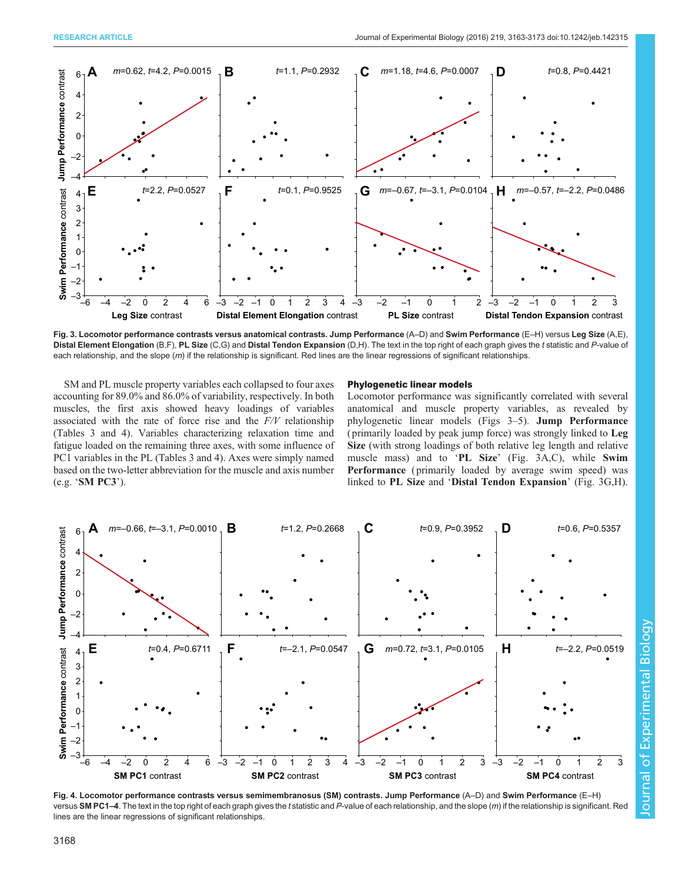<span id="page-5-0"></span>

Fig. 3. Locomotor performance contrasts versus anatomical contrasts. Jump Performance (A–D) and Swim Performance (E–H) versus Leg Size (A,E), Distal Element Elongation (B,F), PL Size (C,G) and Distal Tendon Expansion (D,H). The text in the top right of each graph gives the t statistic and P-value of each relationship, and the slope  $(m)$  if the relationship is significant. Red lines are the linear regressions of significant relationships.

SM and PL muscle property variables each collapsed to four axes accounting for 89.0% and 86.0% of variability, respectively. In both muscles, the first axis showed heavy loadings of variables associated with the rate of force rise and the  $F/V$  relationship [\(Tables 3](#page-4-0) and [4\)](#page-4-0). Variables characterizing relaxation time and fatigue loaded on the remaining three axes, with some influence of PC1 variables in the PL [\(Tables 3](#page-4-0) and [4](#page-4-0)). Axes were simply named based on the two-letter abbreviation for the muscle and axis number (e.g. 'SM PC3').

#### Phylogenetic linear models

Locomotor performance was significantly correlated with several anatomical and muscle property variables, as revealed by phylogenetic linear models (Figs 3–[5\)](#page-6-0). Jump Performance ( primarily loaded by peak jump force) was strongly linked to Leg Size (with strong loadings of both relative leg length and relative muscle mass) and to 'PL Size' (Fig. 3A,C), while Swim Performance (primarily loaded by average swim speed) was linked to PL Size and 'Distal Tendon Expansion' (Fig. 3G,H).



Fig. 4. Locomotor performance contrasts versus semimembranosus (SM) contrasts. Jump Performance (A–D) and Swim Performance (E–H) versus SM PC1–4. The text in the top right of each graph gives the t statistic and P-value of each relationship, and the slope (m) if the relationship is significant. Red lines are the linear regressions of significant relationships.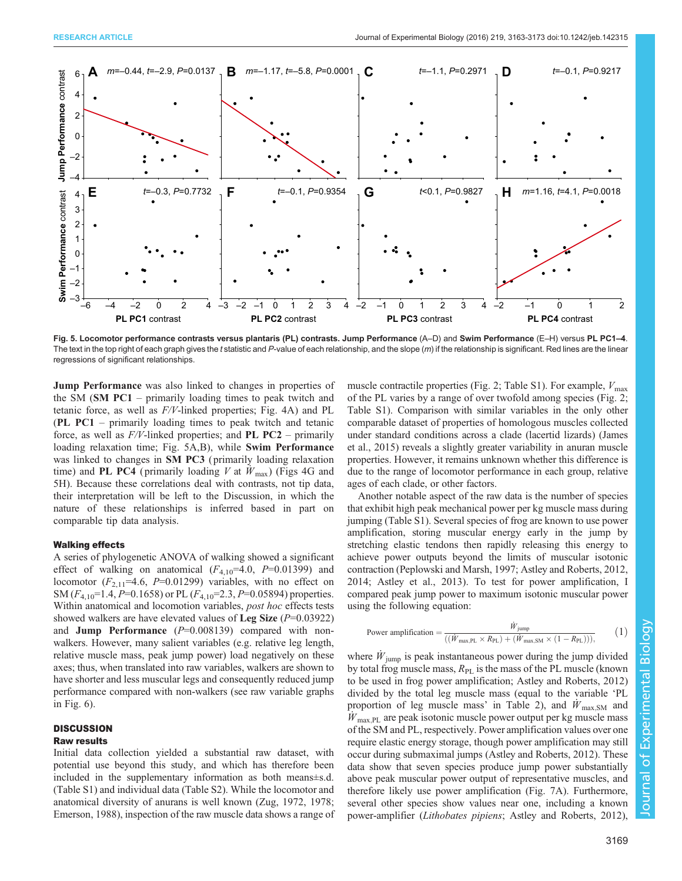<span id="page-6-0"></span>

Fig. 5. Locomotor performance contrasts versus plantaris (PL) contrasts. Jump Performance (A–D) and Swim Performance (E–H) versus PL PC1–4. The text in the top right of each graph gives the  $t$  statistic and P-value of each relationship, and the slope  $(m)$  if the relationship is significant. Red lines are the linear regressions of significant relationships.

Jump Performance was also linked to changes in properties of the SM (SM PC1 – primarily loading times to peak twitch and tetanic force, as well as  $F/V$ -linked properties; [Fig. 4A](#page-5-0)) and PL (PL PC1 – primarily loading times to peak twitch and tetanic force, as well as  $F/V$ -linked properties; and **PL PC2** – primarily loading relaxation time; Fig. 5A,B), while Swim Performance was linked to changes in SM PC3 ( primarily loading relaxation time) and PL PC4 (primarily loading V at  $\dot{W}_{\text{max}}$ ) ([Figs 4G](#page-5-0) and 5H). Because these correlations deal with contrasts, not tip data, their interpretation will be left to the Discussion, in which the nature of these relationships is inferred based in part on comparable tip data analysis.

#### Walking effects

A series of phylogenetic ANOVA of walking showed a significant effect of walking on anatomical  $(F_{4,10} = 4.0, P = 0.01399)$  and locomotor  $(F_{2,11} = 4.6, P = 0.01299)$  variables, with no effect on SM  $(F_{4,10} = 1.4, P = 0.1658)$  or PL  $(F_{4,10} = 2.3, P = 0.05894)$  properties. Within anatomical and locomotion variables, post hoc effects tests showed walkers are have elevated values of Leg Size  $(P=0.03922)$ and **Jump Performance**  $(P=0.008139)$  compared with nonwalkers. However, many salient variables (e.g. relative leg length, relative muscle mass, peak jump power) load negatively on these axes; thus, when translated into raw variables, walkers are shown to have shorter and less muscular legs and consequently reduced jump performance compared with non-walkers (see raw variable graphs in [Fig. 6](#page-7-0)).

#### **DISCUSSION**

#### Raw results

Initial data collection yielded a substantial raw dataset, with potential use beyond this study, and which has therefore been included in the supplementary information as both means±s.d. [\(Table S1](http://jeb.biologists.org/lookup/doi/10.1242/jeb.142315.supplemental)) and individual data [\(Table S2\)](http://jeb.biologists.org/lookup/doi/10.1242/jeb.142315.supplemental). While the locomotor and anatomical diversity of anurans is well known ([Zug, 1972, 1978](#page-10-0); [Emerson, 1988\)](#page-9-0), inspection of the raw muscle data shows a range of muscle contractile properties ([Fig. 2;](#page-3-0) [Table S1](http://jeb.biologists.org/lookup/doi/10.1242/jeb.142315.supplemental)). For example,  $V_{\text{max}}$ of the PL varies by a range of over twofold among species [\(Fig. 2](#page-3-0); [Table S1](http://jeb.biologists.org/lookup/doi/10.1242/jeb.142315.supplemental)). Comparison with similar variables in the only other comparable dataset of properties of homologous muscles collected under standard conditions across a clade (lacertid lizards) [\(James](#page-9-0) [et al., 2015](#page-9-0)) reveals a slightly greater variability in anuran muscle properties. However, it remains unknown whether this difference is due to the range of locomotor performance in each group, relative ages of each clade, or other factors.

Another notable aspect of the raw data is the number of species that exhibit high peak mechanical power per kg muscle mass during jumping ([Table S1\)](http://jeb.biologists.org/lookup/doi/10.1242/jeb.142315.supplemental). Several species of frog are known to use power amplification, storing muscular energy early in the jump by stretching elastic tendons then rapidly releasing this energy to achieve power outputs beyond the limits of muscular isotonic contraction ([Peplowski and Marsh, 1997; Astley and Roberts, 2012,](#page-9-0) [2014; Astley et al., 2013](#page-9-0)). To test for power amplification, I compared peak jump power to maximum isotonic muscular power using the following equation:

Power amplification = 
$$
\frac{\dot{W}_{\text{jump}}}{((\dot{W}_{\text{max,PL}} \times R_{\text{PL}}) + (\dot{W}_{\text{max,SM}} \times (1 - R_{\text{PL}}))),}
$$
 (1)

where  $W_{\text{jump}}$  is peak instantaneous power during the jump divided by total frog muscle mass,  $R_{\text{PL}}$  is the mass of the PL muscle (known to be used in frog power amplification; [Astley and Roberts, 2012\)](#page-9-0) divided by the total leg muscle mass (equal to the variable 'PL proportion of leg muscle mass' in Table 2), and  $\dot{W}_{\text{max,SM}}$  and  $W_{\text{max,PL}}$  are peak isotonic muscle power output per kg muscle mass of the SM and PL, respectively. Power amplification values over one require elastic energy storage, though power amplification may still occur during submaximal jumps ([Astley and Roberts, 2012\)](#page-9-0). These data show that seven species produce jump power substantially above peak muscular power output of representative muscles, and therefore likely use power amplification [\(Fig. 7A](#page-7-0)). Furthermore, several other species show values near one, including a known power-amplifier (Lithobates pipiens; [Astley and Roberts, 2012\)](#page-9-0),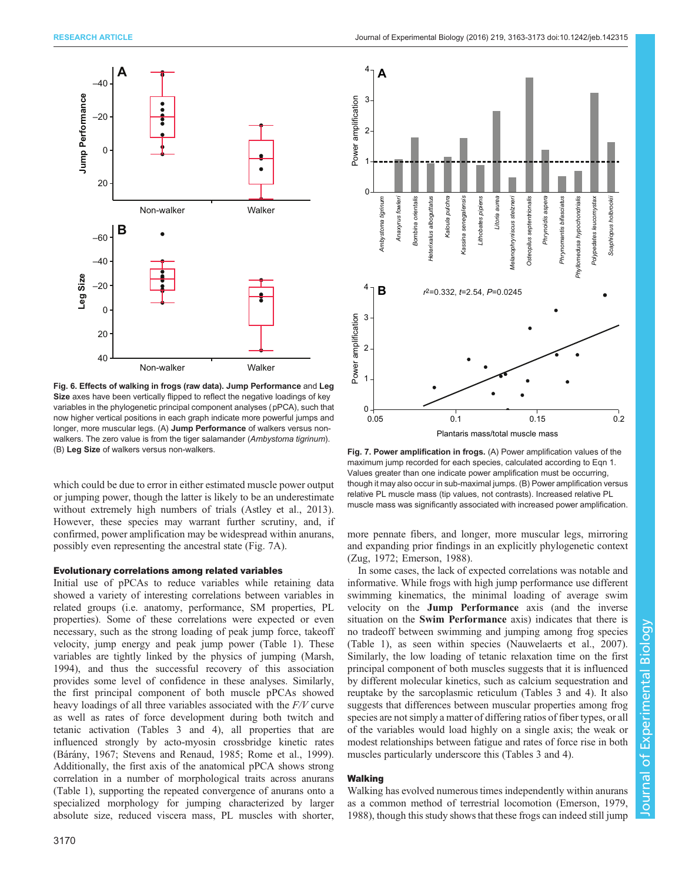<span id="page-7-0"></span>

Fig. 6. Effects of walking in frogs (raw data). Jump Performance and Leg Size axes have been vertically flipped to reflect the negative loadings of key variables in the phylogenetic principal component analyses (pPCA), such that now higher vertical positions in each graph indicate more powerful jumps and longer, more muscular legs. (A) Jump Performance of walkers versus nonwalkers. The zero value is from the tiger salamander (Ambystoma tigrinum). (B) Leg Size of walkers versus non-walkers.

which could be due to error in either estimated muscle power output or jumping power, though the latter is likely to be an underestimate without extremely high numbers of trials ([Astley et al., 2013\)](#page-9-0). However, these species may warrant further scrutiny, and, if confirmed, power amplification may be widespread within anurans, possibly even representing the ancestral state (Fig. 7A).

#### Evolutionary correlations among related variables

Initial use of pPCAs to reduce variables while retaining data showed a variety of interesting correlations between variables in related groups (i.e. anatomy, performance, SM properties, PL properties). Some of these correlations were expected or even necessary, such as the strong loading of peak jump force, takeoff velocity, jump energy and peak jump power [\(Table 1](#page-4-0)). These variables are tightly linked by the physics of jumping ([Marsh,](#page-9-0) [1994](#page-9-0)), and thus the successful recovery of this association provides some level of confidence in these analyses. Similarly, the first principal component of both muscle pPCAs showed heavy loadings of all three variables associated with the F/V curve as well as rates of force development during both twitch and tetanic activation ([Tables 3](#page-4-0) and [4](#page-4-0)), all properties that are influenced strongly by acto-myosin crossbridge kinetic rates [\(Bárány, 1967; Stevens and Renaud, 1985; Rome et al., 1999\)](#page-9-0). Additionally, the first axis of the anatomical pPCA shows strong correlation in a number of morphological traits across anurans [\(Table 1](#page-4-0)), supporting the repeated convergence of anurans onto a specialized morphology for jumping characterized by larger absolute size, reduced viscera mass, PL muscles with shorter,



Fig. 7. Power amplification in frogs. (A) Power amplification values of the maximum jump recorded for each species, calculated according to Eqn 1. Values greater than one indicate power amplification must be occurring, though it may also occur in sub-maximal jumps. (B) Power amplification versus relative PL muscle mass (tip values, not contrasts). Increased relative PL muscle mass was significantly associated with increased power amplification.

more pennate fibers, and longer, more muscular legs, mirroring and expanding prior findings in an explicitly phylogenetic context [\(Zug, 1972](#page-10-0); [Emerson, 1988](#page-9-0)).

In some cases, the lack of expected correlations was notable and informative. While frogs with high jump performance use different swimming kinematics, the minimal loading of average swim velocity on the Jump Performance axis (and the inverse situation on the Swim Performance axis) indicates that there is no tradeoff between swimming and jumping among frog species [\(Table 1\)](#page-4-0), as seen within species [\(Nauwelaerts et al., 2007\)](#page-9-0). Similarly, the low loading of tetanic relaxation time on the first principal component of both muscles suggests that it is influenced by different molecular kinetics, such as calcium sequestration and reuptake by the sarcoplasmic reticulum [\(Tables 3](#page-4-0) and [4](#page-4-0)). It also suggests that differences between muscular properties among frog species are not simply a matter of differing ratios of fiber types, or all of the variables would load highly on a single axis; the weak or modest relationships between fatigue and rates of force rise in both muscles particularly underscore this ([Tables 3](#page-4-0) and [4\)](#page-4-0).

## Walking

Walking has evolved numerous times independently within anurans as a common method of terrestrial locomotion ([Emerson, 1979,](#page-9-0) [1988\)](#page-9-0), though this study shows that these frogs can indeed still jump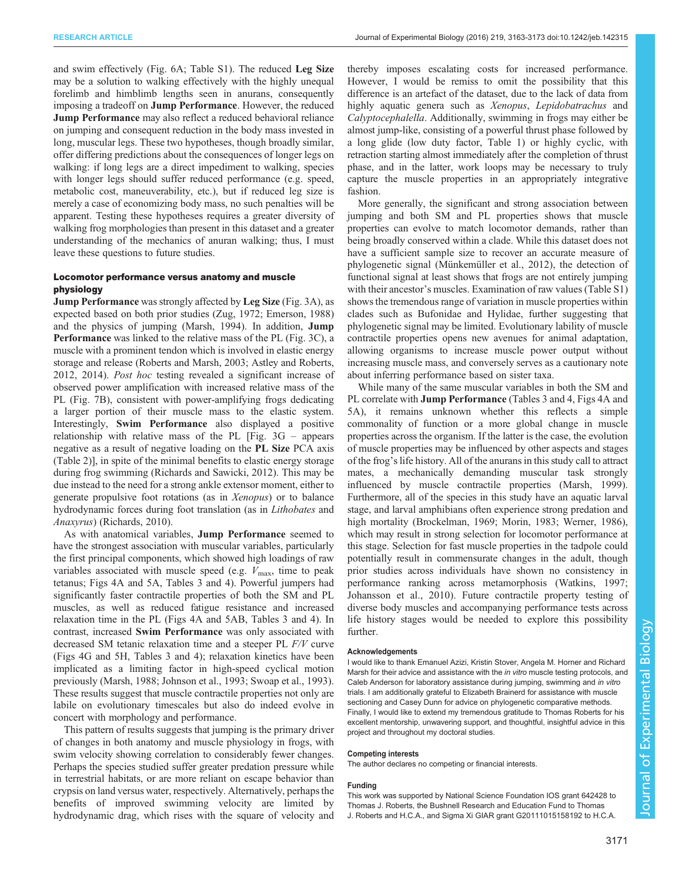and swim effectively [\(Fig. 6](#page-7-0)A; [Table S1](http://jeb.biologists.org/lookup/doi/10.1242/jeb.142315.supplemental)). The reduced Leg Size may be a solution to walking effectively with the highly unequal forelimb and himblimb lengths seen in anurans, consequently imposing a tradeoff on Jump Performance. However, the reduced Jump Performance may also reflect a reduced behavioral reliance on jumping and consequent reduction in the body mass invested in long, muscular legs. These two hypotheses, though broadly similar, offer differing predictions about the consequences of longer legs on walking: if long legs are a direct impediment to walking, species with longer legs should suffer reduced performance (e.g. speed, metabolic cost, maneuverability, etc.), but if reduced leg size is merely a case of economizing body mass, no such penalties will be apparent. Testing these hypotheses requires a greater diversity of walking frog morphologies than present in this dataset and a greater understanding of the mechanics of anuran walking; thus, I must leave these questions to future studies.

# Locomotor performance versus anatomy and muscle physiology

**Jump Performance** was strongly affected by **Leg Size** [\(Fig. 3](#page-5-0)A), as expected based on both prior studies [\(Zug, 1972;](#page-10-0) [Emerson, 1988\)](#page-9-0) and the physics of jumping ([Marsh, 1994\)](#page-9-0). In addition, Jump Performance was linked to the relative mass of the PL ([Fig. 3C](#page-5-0)), a muscle with a prominent tendon which is involved in elastic energy storage and release ([Roberts and Marsh, 2003; Astley and Roberts,](#page-9-0) [2012](#page-9-0), [2014\)](#page-9-0). Post hoc testing revealed a significant increase of observed power amplification with increased relative mass of the PL ([Fig. 7](#page-7-0)B), consistent with power-amplifying frogs dedicating a larger portion of their muscle mass to the elastic system. Interestingly, Swim Performance also displayed a positive relationship with relative mass of the PL [[Fig. 3](#page-5-0)G – appears negative as a result of negative loading on the PL Size PCA axis [\(Table 2](#page-4-0))], in spite of the minimal benefits to elastic energy storage during frog swimming ([Richards and Sawicki, 2012](#page-9-0)). This may be due instead to the need for a strong ankle extensor moment, either to generate propulsive foot rotations (as in Xenopus) or to balance hydrodynamic forces during foot translation (as in Lithobates and Anaxyrus) [\(Richards, 2010](#page-9-0)).

As with anatomical variables, Jump Performance seemed to have the strongest association with muscular variables, particularly the first principal components, which showed high loadings of raw variables associated with muscle speed (e.g.  $V_{\text{max}}$ , time to peak tetanus; [Figs 4A](#page-5-0) and [5A](#page-6-0), [Tables 3](#page-4-0) and [4\)](#page-4-0). Powerful jumpers had significantly faster contractile properties of both the SM and PL muscles, as well as reduced fatigue resistance and increased relaxation time in the PL ([Figs 4](#page-5-0)A and [5A](#page-6-0)B, [Tables 3](#page-4-0) and [4](#page-4-0)). In contrast, increased Swim Performance was only associated with decreased SM tetanic relaxation time and a steeper PL F/V curve [\(Figs 4G](#page-5-0) and [5H](#page-6-0), [Tables 3](#page-4-0) and [4\)](#page-4-0); relaxation kinetics have been implicated as a limiting factor in high-speed cyclical motion previously ([Marsh, 1988; Johnson et al., 1993](#page-9-0); [Swoap et al., 1993\)](#page-10-0). These results suggest that muscle contractile properties not only are labile on evolutionary timescales but also do indeed evolve in concert with morphology and performance.

This pattern of results suggests that jumping is the primary driver of changes in both anatomy and muscle physiology in frogs, with swim velocity showing correlation to considerably fewer changes. Perhaps the species studied suffer greater predation pressure while in terrestrial habitats, or are more reliant on escape behavior than crypsis on land versus water, respectively. Alternatively, perhaps the benefits of improved swimming velocity are limited by hydrodynamic drag, which rises with the square of velocity and

thereby imposes escalating costs for increased performance. However, I would be remiss to omit the possibility that this difference is an artefact of the dataset, due to the lack of data from highly aquatic genera such as Xenopus, Lepidobatrachus and Calyptocephalella. Additionally, swimming in frogs may either be almost jump-like, consisting of a powerful thrust phase followed by a long glide (low duty factor, [Table 1\)](#page-4-0) or highly cyclic, with retraction starting almost immediately after the completion of thrust phase, and in the latter, work loops may be necessary to truly capture the muscle properties in an appropriately integrative fashion.

More generally, the significant and strong association between jumping and both SM and PL properties shows that muscle properties can evolve to match locomotor demands, rather than being broadly conserved within a clade. While this dataset does not have a sufficient sample size to recover an accurate measure of phylogenetic signal ([Münkemüller et al., 2012](#page-9-0)), the detection of functional signal at least shows that frogs are not entirely jumping with their ancestor's muscles. Examination of raw values ([Table S1\)](http://jeb.biologists.org/lookup/doi/10.1242/jeb.142315.supplemental) shows the tremendous range of variation in muscle properties within clades such as Bufonidae and Hylidae, further suggesting that phylogenetic signal may be limited. Evolutionary lability of muscle contractile properties opens new avenues for animal adaptation, allowing organisms to increase muscle power output without increasing muscle mass, and conversely serves as a cautionary note about inferring performance based on sister taxa.

While many of the same muscular variables in both the SM and PL correlate with Jump Performance [\(Tables 3](#page-4-0) and [4](#page-4-0), [Figs 4](#page-5-0)A and [5A](#page-6-0)), it remains unknown whether this reflects a simple commonality of function or a more global change in muscle properties across the organism. If the latter is the case, the evolution of muscle properties may be influenced by other aspects and stages of the frog's life history. All of the anurans in this study call to attract mates, a mechanically demanding muscular task strongly influenced by muscle contractile properties [\(Marsh, 1999\)](#page-9-0). Furthermore, all of the species in this study have an aquatic larval stage, and larval amphibians often experience strong predation and high mortality ([Brockelman, 1969](#page-9-0); [Morin, 1983](#page-9-0); [Werner, 1986\)](#page-10-0), which may result in strong selection for locomotor performance at this stage. Selection for fast muscle properties in the tadpole could potentially result in commensurate changes in the adult, though prior studies across individuals have shown no consistency in performance ranking across metamorphosis ([Watkins, 1997](#page-10-0); [Johansson et al., 2010](#page-9-0)). Future contractile property testing of diverse body muscles and accompanying performance tests across life history stages would be needed to explore this possibility further.

#### Acknowledgements

I would like to thank Emanuel Azizi, Kristin Stover, Angela M. Horner and Richard Marsh for their advice and assistance with the in vitro muscle testing protocols, and Caleb Anderson for laboratory assistance during jumping, swimming and in vitro trials. I am additionally grateful to Elizabeth Brainerd for assistance with muscle sectioning and Casey Dunn for advice on phylogenetic comparative methods. Finally, I would like to extend my tremendous gratitude to Thomas Roberts for his excellent mentorship, unwavering support, and thoughtful, insightful advice in this project and throughout my doctoral studies.

#### Competing interests

The author declares no competing or financial interests.

#### Funding

This work was supported by National Science Foundation IOS grant 642428 to Thomas J. Roberts, the Bushnell Research and Education Fund to Thomas J. Roberts and H.C.A., and Sigma Xi GIAR grant G20111015158192 to H.C.A.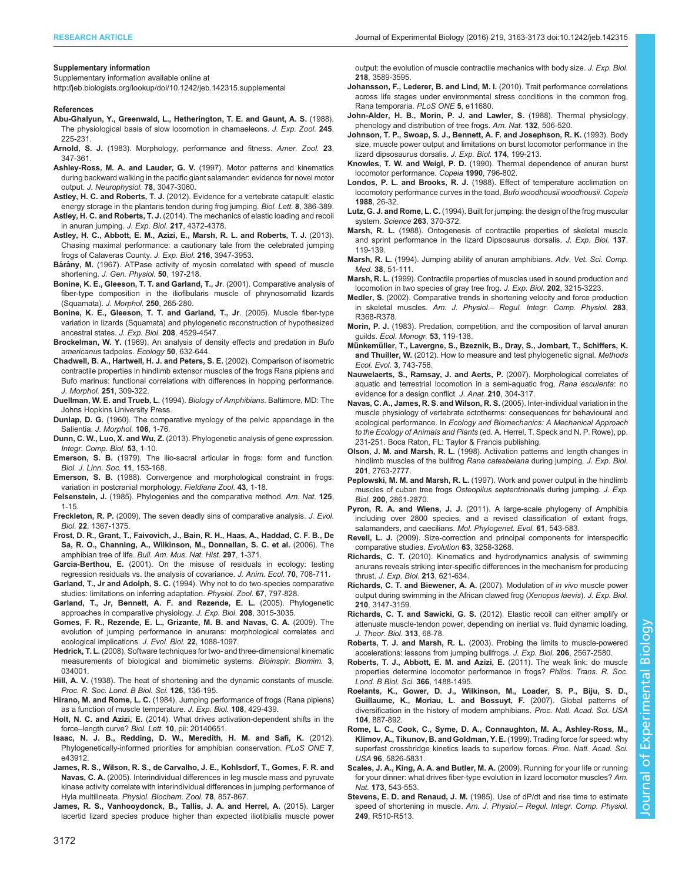#### <span id="page-9-0"></span>Supplementary information

Supplementary information available online at <http://jeb.biologists.org/lookup/doi/10.1242/jeb.142315.supplemental>

#### References

- [Abu-Ghalyun, Y., Greenwald, L., Hetherington, T. E. and Gaunt, A. S.](http://dx.doi.org/10.1002/jez.1402450302) (1988). [The physiological basis of slow locomotion in chamaeleons.](http://dx.doi.org/10.1002/jez.1402450302) J. Exp. Zool. 245, [225-231.](http://dx.doi.org/10.1002/jez.1402450302)
- Arnold, S. J. [\(1983\). Morphology, performance and fitness.](http://dx.doi.org/10.1093/icb/23.2.347) Amer. Zool. 23, [347-361.](http://dx.doi.org/10.1093/icb/23.2.347)
- Ashley-Ross, M. A. and Lauder, G. V. (1997). Motor patterns and kinematics during backward walking in the pacific giant salamander: evidence for novel motor output. J. Neurophysiol. 78, 3047-3060.
- Astley, H. C. and Roberts, T. J. [\(2012\). Evidence for a vertebrate catapult: elastic](http://dx.doi.org/10.1098/rsbl.2011.0982)
- [energy storage in the plantaris tendon during frog jumping.](http://dx.doi.org/10.1098/rsbl.2011.0982) Biol. Lett. 8, 386-389. Astley, H. C. and Roberts, T. J. [\(2014\). The mechanics of elastic loading and recoil](http://dx.doi.org/10.1242/jeb.110296) [in anuran jumping.](http://dx.doi.org/10.1242/jeb.110296) J. Exp. Biol. 217, 4372-4378.
- [Astley, H. C., Abbott, E. M., Azizi, E., Marsh, R. L. and Roberts, T. J.](http://dx.doi.org/10.1242/jeb.090357) (2013). [Chasing maximal performance: a cautionary tale from the celebrated jumping](http://dx.doi.org/10.1242/jeb.090357) [frogs of Calaveras County.](http://dx.doi.org/10.1242/jeb.090357) J. Exp. Biol. 216, 3947-3953.
- Bárány, M. [\(1967\). ATPase activity of myosin correlated with speed of muscle](http://dx.doi.org/10.1085/jgp.50.6.197) shortening. [J. Gen. Physiol.](http://dx.doi.org/10.1085/jgp.50.6.197) 50, 197-218.
- [Bonine, K. E., Gleeson, T. T. and Garland, T., Jr](http://dx.doi.org/10.1002/jmor.1069). (2001). Comparative analysis of [fiber-type composition in the iliofibularis muscle of phrynosomatid lizards](http://dx.doi.org/10.1002/jmor.1069) [\(Squamata\).](http://dx.doi.org/10.1002/jmor.1069) J. Morphol. 250, 265-280.
- [Bonine, K. E., Gleeson, T. T. and Garland, T., Jr](http://dx.doi.org/10.1242/jeb.01903). (2005). Muscle fiber-type [variation in lizards \(Squamata\) and phylogenetic reconstruction of hypothesized](http://dx.doi.org/10.1242/jeb.01903) [ancestral states.](http://dx.doi.org/10.1242/jeb.01903) J. Exp. Biol. 208, 4529-4547.
- Brockelman, W. Y. [\(1969\). An analysis of density effects and predation in](http://dx.doi.org/10.2307/1936252) Bufo [americanus](http://dx.doi.org/10.2307/1936252) tadpoles. Ecology 50, 632-644.
- [Chadwell, B. A., Hartwell, H. J. and Peters, S. E.](http://dx.doi.org/10.1002/jmor.1091) (2002). Comparison of isometric [contractile properties in hindlimb extensor muscles of the frogs Rana pipiens and](http://dx.doi.org/10.1002/jmor.1091) [Bufo marinus: functional correlations with differences in hopping performance.](http://dx.doi.org/10.1002/jmor.1091) [J. Morphol.](http://dx.doi.org/10.1002/jmor.1091) 251, 309-322.
- Duellman, W. E. and Trueb, L. (1994). Biology of Amphibians. Baltimore, MD: The Johns Hopkins University Press.
- Dunlap, D. G. [\(1960\). The comparative myology of the pelvic appendage in the](http://dx.doi.org/10.1002/jmor.1051060102) Salientia. [J. Morphol.](http://dx.doi.org/10.1002/jmor.1051060102) 106, 1-76.
- Dunn, C. W., Luo, X. and Wu, Z. [\(2013\). Phylogenetic analysis of gene expression.](http://dx.doi.org/10.1093/icb/ict044) [Integr. Comp. Biol.](http://dx.doi.org/10.1093/icb/ict044) 53, 1-10.
- Emerson, S. B. [\(1979\). The ilio-sacral articular in frogs: form and function.](http://dx.doi.org/10.1111/j.1095-8312.1979.tb00032.x) [Biol. J. Linn. Soc.](http://dx.doi.org/10.1111/j.1095-8312.1979.tb00032.x) 11, 153-168.
- Emerson, S. B. (1988). Convergence and morphological constraint in frogs: variation in postcranial morphology. Fieldiana Zool. 43, 1-18.
- Felsenstein, J. [\(1985\). Phylogenies and the comparative method.](http://dx.doi.org/10.1086/284325) Am. Nat. 125, [1-15.](http://dx.doi.org/10.1086/284325)
- Freckleton, R. P. [\(2009\). The seven deadly sins of comparative analysis.](http://dx.doi.org/10.1111/j.1420-9101.2009.01757.x) J. Evol. Biol. 22[, 1367-1375.](http://dx.doi.org/10.1111/j.1420-9101.2009.01757.x)
- [Frost, D. R., Grant, T., Faivovich, J., Bain, R. H., Haas, A., Haddad, C. F. B., De](http://dx.doi.org/10.1206/0003-0090(2006)297[0001:TATOL]2.0.CO;2) [Sa, R. O., Channing, A., Wilkinson, M., Donnellan, S. C. et al.](http://dx.doi.org/10.1206/0003-0090(2006)297[0001:TATOL]2.0.CO;2) (2006). The amphibian tree of life. [Bull. Am. Mus. Nat. Hist.](http://dx.doi.org/10.1206/0003-0090(2006)297[0001:TATOL]2.0.CO;2) 297, 1-371.
- Garcia-Berthou, E. [\(2001\). On the misuse of residuals in ecology: testing](http://dx.doi.org/10.1046/j.1365-2656.2001.00524.x) [regression residuals vs. the analysis of covariance.](http://dx.doi.org/10.1046/j.1365-2656.2001.00524.x) J. Anim. Ecol. 70, 708-711.
- Garland, T., Jr and Adolph, S. C. [\(1994\). Why not to do two-species comparative](http://dx.doi.org/10.1086/physzool.67.4.30163866) [studies: limitations on inferring adaptation.](http://dx.doi.org/10.1086/physzool.67.4.30163866) Physiol. Zool. 67, 797-828.
- [Garland, T., Jr, Bennett, A. F. and Rezende, E. L.](http://dx.doi.org/10.1242/jeb.01745) (2005). Phylogenetic [approaches in comparative physiology.](http://dx.doi.org/10.1242/jeb.01745) J. Exp. Biol. 208, 3015-3035.
- [Gomes, F. R., Rezende, E. L., Grizante, M. B. and Navas, C. A.](http://dx.doi.org/10.1111/j.1420-9101.2009.01718.x) (2009). The [evolution of jumping performance in anurans: morphological correlates and](http://dx.doi.org/10.1111/j.1420-9101.2009.01718.x) [ecological implications.](http://dx.doi.org/10.1111/j.1420-9101.2009.01718.x) J. Evol. Biol. 22, 1088-1097.
- Hedrick, T. L. [\(2008\). Software techniques for two- and three-dimensional kinematic](http://dx.doi.org/10.1088/1748-3182/3/3/034001) [measurements of biological and biomimetic](http://dx.doi.org/10.1088/1748-3182/3/3/034001) systems. Bioinspir. Biomim. 3, [034001.](http://dx.doi.org/10.1088/1748-3182/3/3/034001)
- Hill, A. V. [\(1938\). The heat of shortening and the dynamic constants of muscle.](http://dx.doi.org/10.1098/rspb.1938.0050) [Proc. R. Soc. Lond. B Biol. Sci.](http://dx.doi.org/10.1098/rspb.1938.0050) 126, 136-195.
- Hirano, M. and Rome, L. C. (1984). Jumping performance of frogs (Rana pipiens) as a function of muscle temperature. J. Exp. Biol. 108, 429-439.
- Holt, N. C. and Azizi, E. [\(2014\). What drives activation-dependent shifts in the](http://dx.doi.org/10.1098/rsbl.2014.0651) force–length curve? Biol. Lett. 10. pii: 20140651.
- [Isaac, N. J. B., Redding, D. W., Meredith, H. M. and Safi, K.](http://dx.doi.org/10.1371/journal.pone.0043912) (2012). [Phylogenetically-informed priorities for amphibian conservation.](http://dx.doi.org/10.1371/journal.pone.0043912) PLoS ONE 7, [e43912.](http://dx.doi.org/10.1371/journal.pone.0043912)
- [James, R. S., Wilson, R. S., de Carvalho, J. E., Kohlsdorf, T., Gomes, F. R. and](http://dx.doi.org/10.1086/432149) Navas, C. A. [\(2005\). Interindividual differences in leg muscle mass and pyruvate](http://dx.doi.org/10.1086/432149) [kinase activity correlate with interindividual differences in jumping performance of](http://dx.doi.org/10.1086/432149) Hyla multilineata. [Physiol. Biochem. Zool.](http://dx.doi.org/10.1086/432149) 78, 857-867.
- [James, R. S., Vanhooydonck, B., Tallis, J. A. and Herrel, A.](http://dx.doi.org/10.1242/jeb.124974) (2015). Larger [lacertid lizard species produce higher than expected iliotibialis muscle power](http://dx.doi.org/10.1242/jeb.124974)

[output: the evolution of muscle contractile mechanics with body size.](http://dx.doi.org/10.1242/jeb.124974) J. Exp. Biol. 218[, 3589-3595.](http://dx.doi.org/10.1242/jeb.124974)

- [Johansson, F., Lederer, B. and Lind, M. I.](http://dx.doi.org/10.1371/journal.pone.0011680) (2010). Trait performance correlations [across life stages under environmental stress conditions in the common frog,](http://dx.doi.org/10.1371/journal.pone.0011680) [Rana temporaria.](http://dx.doi.org/10.1371/journal.pone.0011680) PLoS ONE 5, e11680.
- [John-Alder, H. B., Morin, P. J. and Lawler, S.](http://dx.doi.org/10.1086/284868) (1988). Thermal physiology, [phenology and distribution of tree frogs.](http://dx.doi.org/10.1086/284868) Am. Nat. 132, 506-520.
- Johnson, T. P., Swoap, S. J., Bennett, A. F. and Josephson, R. K. (1993). Body size, muscle power output and limitations on burst locomotor performance in the lizard dipsosaurus dorsalis. J. Exp. Biol. 174, 199-213.
- Knowles, T. W. and Weigl, P. D. [\(1990\). Thermal dependence of anuran burst](http://dx.doi.org/10.2307/1446445) [locomotor performance.](http://dx.doi.org/10.2307/1446445) Copeia 1990, 796-802.
- Londos, P. L. and Brooks, R. J. [\(1988\). Effect of temperature acclimation on](http://dx.doi.org/10.2307/1445918) [locomotory performance curves in the toad,](http://dx.doi.org/10.2307/1445918) Bufo woodhousii woodhousii. Copeia 1988[, 26-32.](http://dx.doi.org/10.2307/1445918)
- Lutz, G. J. and Rome, L. C. [\(1994\). Built for jumping: the design of the frog muscular](http://dx.doi.org/10.1126/science.8278808) system. Science 263[, 370-372.](http://dx.doi.org/10.1126/science.8278808)
- Marsh, R. L. (1988). Ontogenesis of contractile properties of skeletal muscle and sprint performance in the lizard Dipsosaurus dorsalis. J. Exp. Biol. 137, 119-139.
- Marsh, R. L. (1994). Jumping ability of anuran amphibians. Adv. Vet. Sci. Comp. Med. 38, 51-111
- Marsh, R. L. (1999). Contractile properties of muscles used in sound production and locomotion in two species of gray tree frog. J. Exp. Biol. 202, 3215-3223.
- Medler, S. [\(2002\). Comparative trends in shortening velocity and force production](http://dx.doi.org/10.1152/ajpregu.00689.2001) in skeletal muscles. Am. J. Physiol.- [Regul. Integr. Comp. Physiol.](http://dx.doi.org/10.1152/ajpregu.00689.2001) 283, [R368-R378.](http://dx.doi.org/10.1152/ajpregu.00689.2001)
- Morin, P. J. [\(1983\). Predation, competition, and the composition of larval anuran](http://dx.doi.org/10.2307/1942491) guilds. [Ecol. Monogr.](http://dx.doi.org/10.2307/1942491) 53, 119-138.
- Münkemü[ller, T., Lavergne, S., Bzeznik, B., Dray, S., Jombart, T., Schiffers, K.](http://dx.doi.org/10.1111/j.2041-210X.2012.00196.x) and Thuiller, W. [\(2012\). How to measure and test phylogenetic signal.](http://dx.doi.org/10.1111/j.2041-210X.2012.00196.x) Methods [Ecol. Evol.](http://dx.doi.org/10.1111/j.2041-210X.2012.00196.x) 3, 743-756.
- [Nauwelaerts, S., Ramsay, J. and Aerts, P.](http://dx.doi.org/10.1111/j.1469-7580.2007.00691.x) (2007). Morphological correlates of [aquatic and terrestrial locomotion in a semi-aquatic frog,](http://dx.doi.org/10.1111/j.1469-7580.2007.00691.x) Rana esculenta: no [evidence for a design conflict.](http://dx.doi.org/10.1111/j.1469-7580.2007.00691.x) J. Anat. 210, 304-317.
- Navas, C. A., James, R. S. and Wilson, R. S. (2005). Inter-individual variation in the muscle physiology of vertebrate ectotherms: consequences for behavioural and ecological performance. In Ecology and Biomechanics: A Mechanical Approach to the Ecology of Animals and Plants (ed. A. Herrel, T. Speck and N. P. Rowe), pp. 231-251. Boca Raton, FL: Taylor & Francis publishing.
- Olson, J. M. and Marsh, R. L. (1998). Activation patterns and length changes in hindlimb muscles of the bullfrog Rana catesbeiana during jumping. J. Exp. Biol. 201, 2763-2777.
- Peplowski, M. M. and Marsh, R. L. (1997). Work and power output in the hindlimb muscles of cuban tree frogs Osteopilus septentrionalis during jumping. J. Exp. Biol. 200, 2861-2870.
- Pyron, R. A. and Wiens, J. J. [\(2011\). A large-scale phylogeny of Amphibia](http://dx.doi.org/10.1016/j.ympev.2011.06.012) [including over 2800 species, and a revised classification of extant frogs,](http://dx.doi.org/10.1016/j.ympev.2011.06.012) [salamanders, and caecilians.](http://dx.doi.org/10.1016/j.ympev.2011.06.012) Mol. Phylogenet. Evol. 61, 543-583.
- Revell, L. J. [\(2009\). Size-correction and principal components for interspecific](http://dx.doi.org/10.1111/j.1558-5646.2009.00804.x) [comparative studies.](http://dx.doi.org/10.1111/j.1558-5646.2009.00804.x) Evolution 63, 3258-3268.
- Richards, C. T. [\(2010\). Kinematics and hydrodynamics analysis of swimming](http://dx.doi.org/10.1242/jeb.032631) [anurans reveals striking inter-specific differences in the mechanism for producing](http://dx.doi.org/10.1242/jeb.032631) thrust. [J. Exp. Biol.](http://dx.doi.org/10.1242/jeb.032631) 213, 621-634.
- [Richards, C. T. and Biewener, A. A.](http://dx.doi.org/10.1242/jeb.005207) (2007). Modulation of in vivo muscle power [output during swimming in the African clawed frog \(](http://dx.doi.org/10.1242/jeb.005207)Xenopus laevis). J. Exp. Biol. 210[, 3147-3159.](http://dx.doi.org/10.1242/jeb.005207)
- Richards, C. T. and Sawicki, G. S. [\(2012\). Elastic recoil can either amplify or](http://dx.doi.org/10.1016/j.jtbi.2012.07.033) [attenuate muscle-tendon power, depending on inertial vs. fluid dynamic loading.](http://dx.doi.org/10.1016/j.jtbi.2012.07.033) [J. Theor. Biol.](http://dx.doi.org/10.1016/j.jtbi.2012.07.033) 313, 68-78.
- Roberts, T. J. and Marsh, R. L. [\(2003\). Probing the limits to muscle-powered](http://dx.doi.org/10.1242/jeb.00452) [accelerations: lessons from jumping bullfrogs.](http://dx.doi.org/10.1242/jeb.00452) J. Exp. Biol. 206, 2567-2580.
- [Roberts, T. J., Abbott, E. M. and Azizi, E.](http://dx.doi.org/10.1098/rstb.2010.0326) (2011). The weak link: do muscle [properties determine locomotor performance in frogs?](http://dx.doi.org/10.1098/rstb.2010.0326) Philos. Trans. R. Soc. [Lond. B Biol. Sci.](http://dx.doi.org/10.1098/rstb.2010.0326) 366, 1488-1495.
- [Roelants, K., Gower, D. J., Wilkinson, M., Loader, S. P., Biju, S. D.,](http://dx.doi.org/10.1073/pnas.0608378104) [Guillaume, K., Moriau, L. and Bossuyt, F.](http://dx.doi.org/10.1073/pnas.0608378104) (2007). Global patterns of [diversification in the history of modern amphibians.](http://dx.doi.org/10.1073/pnas.0608378104) Proc. Natl. Acad. Sci. USA 104[, 887-892.](http://dx.doi.org/10.1073/pnas.0608378104)
- [Rome, L. C., Cook, C., Syme, D. A., Connaughton, M. A., Ashley-Ross, M.,](http://dx.doi.org/10.1073/pnas.96.10.5826) [Klimov, A., Tikunov, B. and Goldman, Y. E.](http://dx.doi.org/10.1073/pnas.96.10.5826) (1999). Trading force for speed: why [superfast crossbridge kinetics leads to superlow forces.](http://dx.doi.org/10.1073/pnas.96.10.5826) Proc. Natl. Acad. Sci. USA 96[, 5826-5831.](http://dx.doi.org/10.1073/pnas.96.10.5826)
- [Scales, J. A., King, A. A. and Butler, M. A.](http://dx.doi.org/10.1086/597613) (2009). Running for your life or running [for your dinner: what drives fiber-type evolution in lizard locomotor muscles?](http://dx.doi.org/10.1086/597613) Am. Nat. 173[, 543-553.](http://dx.doi.org/10.1086/597613)
- Stevens, E. D. and Renaud, J. M. (1985). Use of dP/dt and rise time to estimate speed of shortening in muscle. Am. J. Physiol.- Regul. Integr. Comp. Physiol. 249, R510-R513.

Biology